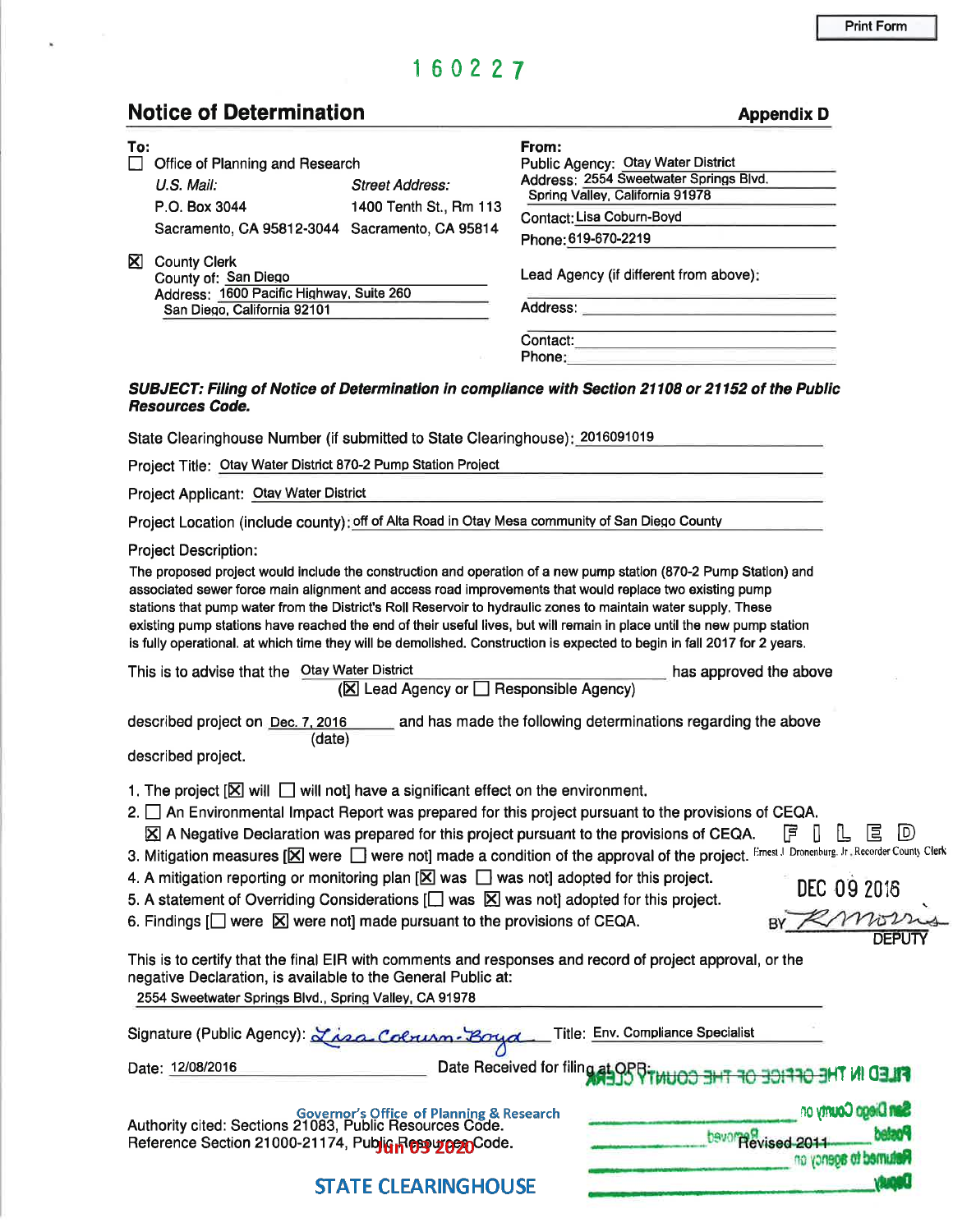# 1 6 0 2 27

k.

Notice of Determination and appendix D Appendix D

| To:                                                                                                                                                                                                                                                                                                                                                                                                              |                                         | From:                                                                                                                                                                                                                                                                                                                                                                                                                                                                           |                            |
|------------------------------------------------------------------------------------------------------------------------------------------------------------------------------------------------------------------------------------------------------------------------------------------------------------------------------------------------------------------------------------------------------------------|-----------------------------------------|---------------------------------------------------------------------------------------------------------------------------------------------------------------------------------------------------------------------------------------------------------------------------------------------------------------------------------------------------------------------------------------------------------------------------------------------------------------------------------|----------------------------|
| Office of Planning and Research                                                                                                                                                                                                                                                                                                                                                                                  |                                         | Public Agency: Otay Water District<br>Address: 2554 Sweetwater Springs Blvd.                                                                                                                                                                                                                                                                                                                                                                                                    |                            |
| U.S. Mail:                                                                                                                                                                                                                                                                                                                                                                                                       | <b>Street Address:</b>                  | Spring Valley, California 91978                                                                                                                                                                                                                                                                                                                                                                                                                                                 |                            |
| P.O. Box 3044                                                                                                                                                                                                                                                                                                                                                                                                    | 1400 Tenth St., Rm 113                  | Contact: Lisa Coburn-Boyd                                                                                                                                                                                                                                                                                                                                                                                                                                                       |                            |
| Sacramento, CA 95812-3044 Sacramento, CA 95814                                                                                                                                                                                                                                                                                                                                                                   |                                         | Phone: 619-670-2219                                                                                                                                                                                                                                                                                                                                                                                                                                                             |                            |
| <b>County Clerk</b><br><b>X</b><br>County of: San Diego<br>Address: 1600 Pacific Highway, Suite 260                                                                                                                                                                                                                                                                                                              |                                         | Lead Agency (if different from above):                                                                                                                                                                                                                                                                                                                                                                                                                                          |                            |
| San Diego, California 92101                                                                                                                                                                                                                                                                                                                                                                                      |                                         |                                                                                                                                                                                                                                                                                                                                                                                                                                                                                 |                            |
|                                                                                                                                                                                                                                                                                                                                                                                                                  |                                         |                                                                                                                                                                                                                                                                                                                                                                                                                                                                                 |                            |
|                                                                                                                                                                                                                                                                                                                                                                                                                  |                                         |                                                                                                                                                                                                                                                                                                                                                                                                                                                                                 |                            |
| <b>Resources Code.</b>                                                                                                                                                                                                                                                                                                                                                                                           |                                         | SUBJECT: Filing of Notice of Determination in compliance with Section 21108 or 21152 of the Public                                                                                                                                                                                                                                                                                                                                                                              |                            |
| State Clearinghouse Number (if submitted to State Clearinghouse): 2016091019                                                                                                                                                                                                                                                                                                                                     |                                         |                                                                                                                                                                                                                                                                                                                                                                                                                                                                                 |                            |
| Project Title: Otay Water District 870-2 Pump Station Project                                                                                                                                                                                                                                                                                                                                                    |                                         |                                                                                                                                                                                                                                                                                                                                                                                                                                                                                 |                            |
|                                                                                                                                                                                                                                                                                                                                                                                                                  |                                         | <u> 1989 - Johann Barbara, martxa alemaniar a</u>                                                                                                                                                                                                                                                                                                                                                                                                                               |                            |
| Project Applicant: Otay Water District                                                                                                                                                                                                                                                                                                                                                                           |                                         | <u> Andreas Andreas Andreas Andreas Andreas Andreas Andreas Andreas Andreas Andreas Andreas Andreas Andreas Andreas</u>                                                                                                                                                                                                                                                                                                                                                         |                            |
|                                                                                                                                                                                                                                                                                                                                                                                                                  |                                         | Project Location (include county): off of Alta Road in Otay Mesa community of San Diego County                                                                                                                                                                                                                                                                                                                                                                                  |                            |
|                                                                                                                                                                                                                                                                                                                                                                                                                  |                                         | associated sewer force main alignment and access road improvements that would replace two existing pump<br>stations that pump water from the District's Roll Reservoir to hydraulic zones to maintain water supply. These<br>existing pump stations have reached the end of their useful lives, but will remain in place until the new pump station<br>is fully operational. at which time they will be demolished. Construction is expected to begin in fall 2017 for 2 years. |                            |
| This is to advise that the Otay Water District                                                                                                                                                                                                                                                                                                                                                                   | (区 Lead Agency or □ Responsible Agency) | has approved the above                                                                                                                                                                                                                                                                                                                                                                                                                                                          |                            |
| (date)<br>described project.                                                                                                                                                                                                                                                                                                                                                                                     |                                         | described project on Dec. 7, 2016 ______ and has made the following determinations regarding the above                                                                                                                                                                                                                                                                                                                                                                          |                            |
| 1. The project $[\boxtimes]$ will $\Box$ will not] have a significant effect on the environment.<br>4. A mitigation reporting or monitoring plan $[\mathbb{X}]$ was $\Box$ was not] adopted for this project.<br>5. A statement of Overriding Considerations $\Box$ was $\boxtimes$ was not] adopted for this project.<br>6. Findings $\Box$ were $\boxtimes$ were not] made pursuant to the provisions of CEQA. |                                         | 2. $\Box$ An Environmental Impact Report was prepared for this project pursuant to the provisions of CEQA.<br>$\boxtimes$ A Negative Declaration was prepared for this project pursuant to the provisions of CEQA. $\Box$ $\Box$ $\Box$<br>3. Mitigation measures [X] were not] made a condition of the approval of the project. Ernest J. Dronenburg. Jr. Recorder County Clerk                                                                                                | $\mathbb D$<br>DEC 09 2016 |
| negative Declaration, is available to the General Public at:<br>2554 Sweetwater Springs Blvd., Spring Valley, CA 91978                                                                                                                                                                                                                                                                                           |                                         | This is to certify that the final EIR with comments and responses and record of project approval, or the                                                                                                                                                                                                                                                                                                                                                                        |                            |
| Signature (Public Agency) Lisa-Colruso Boyd                                                                                                                                                                                                                                                                                                                                                                      |                                         | Title: Env. Compliance Specialist                                                                                                                                                                                                                                                                                                                                                                                                                                               |                            |
| Date: 12/08/2016                                                                                                                                                                                                                                                                                                                                                                                                 |                                         | Date Received for filing at OP                                                                                                                                                                                                                                                                                                                                                                                                                                                  | <b>FILED IN T</b>          |
| Governor's Office of Planning & Research<br>Authority cited: Sections 21083, Public Resources Code.                                                                                                                                                                                                                                                                                                              |                                         |                                                                                                                                                                                                                                                                                                                                                                                                                                                                                 | <b>San Diego County on</b> |
| Reference Section 21000-21174, Public Resources                                                                                                                                                                                                                                                                                                                                                                  |                                         | bavor Revised 201                                                                                                                                                                                                                                                                                                                                                                                                                                                               |                            |
|                                                                                                                                                                                                                                                                                                                                                                                                                  |                                         |                                                                                                                                                                                                                                                                                                                                                                                                                                                                                 | <b>etumed to agency on</b> |
|                                                                                                                                                                                                                                                                                                                                                                                                                  | <b>STATE CLEARINGHOUSE</b>              |                                                                                                                                                                                                                                                                                                                                                                                                                                                                                 |                            |

-

**STATE CLEARINGHOUSE**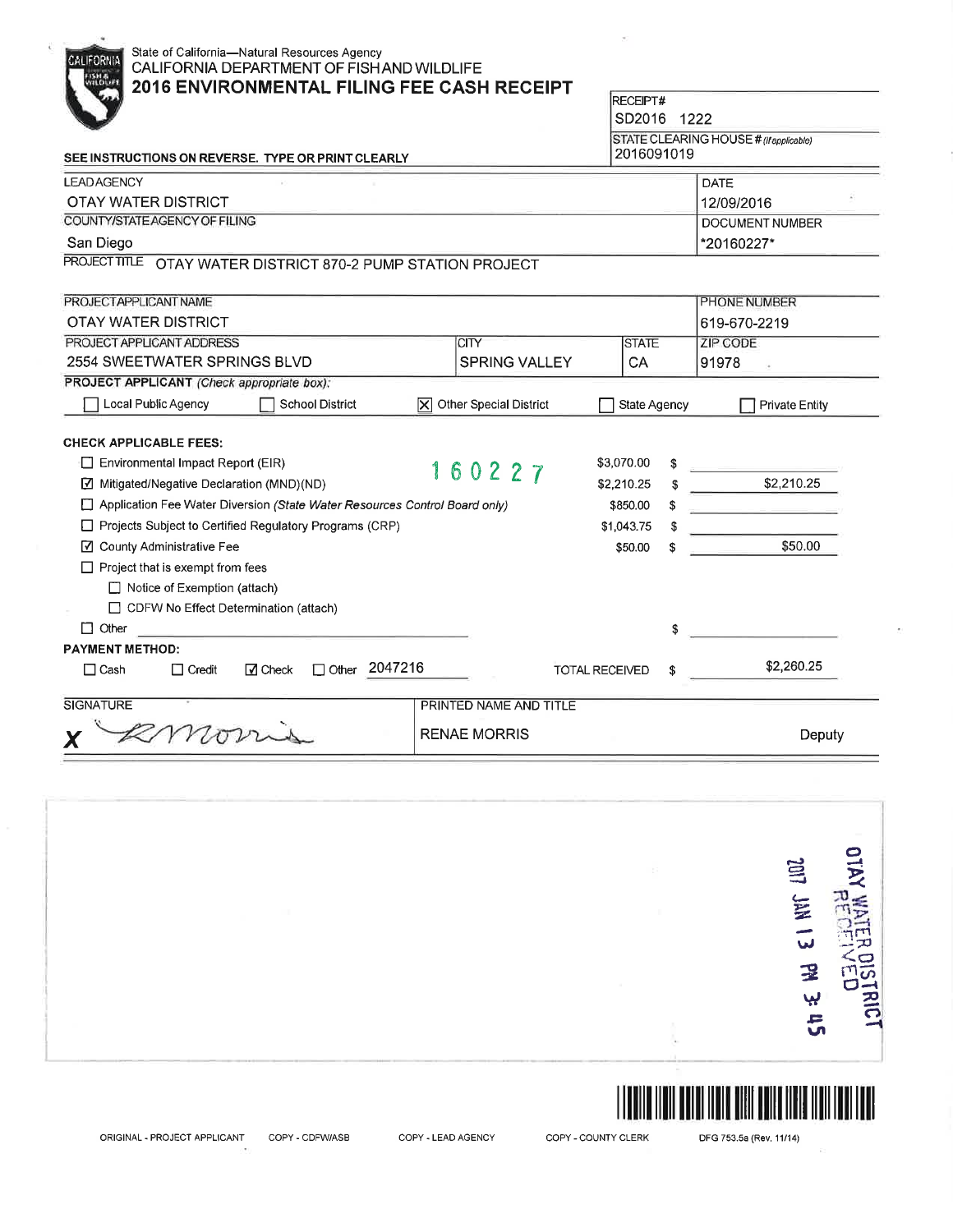| State of California-Natural Resources Agency<br>CALIFORNIA<br>CALIFORNIA DEPARTMENT OF FISHAND WILDLIFE<br><b>2016 ENVIRONMENTAL FILING FEE CASH RECEIPT</b> |                                       |                 |    |                                        |
|--------------------------------------------------------------------------------------------------------------------------------------------------------------|---------------------------------------|-----------------|----|----------------------------------------|
|                                                                                                                                                              |                                       | <b>RECEIPT#</b> |    |                                        |
|                                                                                                                                                              |                                       | SD2016 1222     |    |                                        |
|                                                                                                                                                              |                                       | 2016091019      |    | STATE CLEARING HOUSE # (If applicable) |
| SEE INSTRUCTIONS ON REVERSE. TYPE OR PRINT CLEARLY                                                                                                           |                                       |                 |    |                                        |
| <b>LEADAGENCY</b>                                                                                                                                            |                                       |                 |    | <b>DATE</b>                            |
| <b>OTAY WATER DISTRICT</b>                                                                                                                                   |                                       |                 |    | 12/09/2016                             |
| COUNTY/STATE AGENCY OF FILING                                                                                                                                |                                       |                 |    | <b>DOCUMENT NUMBER</b>                 |
| San Diego                                                                                                                                                    |                                       |                 |    | *20160227*                             |
| PROJECT TITLE OTAY WATER DISTRICT 870-2 PUMP STATION PROJECT                                                                                                 |                                       |                 |    |                                        |
| PROJECTAPPLICANT NAME                                                                                                                                        |                                       |                 |    | PHONE NUMBER                           |
| OTAY WATER DISTRICT                                                                                                                                          |                                       |                 |    | 619-670-2219                           |
| PROJECT APPLICANT ADDRESS                                                                                                                                    | <b>ICITY</b>                          | <b>STATE</b>    |    | <b>ZIP CODE</b>                        |
| 2554 SWEETWATER SPRINGS BLVD                                                                                                                                 | <b>SPRING VALLEY</b>                  | CA              |    | 91978                                  |
| PROJECT APPLICANT (Check appropriate box):                                                                                                                   |                                       |                 |    |                                        |
| Local Public Agency<br><b>School District</b>                                                                                                                | $ \mathsf{X} $ Other Special District | State Agency    |    | <b>Private Entity</b>                  |
| <b>CHECK APPLICABLE FEES:</b><br>$\Box$ Environmental Impact Report (EIR)                                                                                    | 160227                                | \$3,070.00      |    |                                        |
| Mitigated/Negative Declaration (MND)(ND)                                                                                                                     |                                       | \$2,210.25      | \$ | \$2,210.25                             |
| Application Fee Water Diversion (State Water Resources Control Board only)                                                                                   |                                       | \$850.00        |    | and the state of the state of          |
| Projects Subject to Certified Regulatory Programs (CRP)<br>\$1,043.75                                                                                        |                                       |                 |    |                                        |
| ☑ County Administrative Fee                                                                                                                                  |                                       | \$50.00         |    | \$50.00                                |
| $\Box$ Project that is exempt from fees                                                                                                                      |                                       |                 |    |                                        |
| Notice of Exemption (attach)                                                                                                                                 |                                       |                 |    |                                        |
| □ CDFW No Effect Determination (attach)                                                                                                                      |                                       |                 |    |                                        |
| $\Box$ Other                                                                                                                                                 |                                       |                 | \$ |                                        |
| <b>PAYMENT METHOD:</b>                                                                                                                                       |                                       |                 |    |                                        |
| Other 2047216<br>$\Box$ Cash<br>$\triangledown$ Check<br>$\Box$ Credit                                                                                       | <b>TOTAL RECEIVED</b>                 |                 | \$ | \$2,260.25                             |
| <b>SIGNATURE</b>                                                                                                                                             | PRINTED NAME AND TITLE                |                 |    |                                        |
| mon                                                                                                                                                          | <b>RENAE MORRIS</b>                   |                 |    | Deputy                                 |





ORIGINAL - PROJECT APPLICANT

COPY - CDFW/ASB

COPY - LEAD AGENCY

COPY - COUNTY CLERK

DFG 753.5a (Rev. 11/14)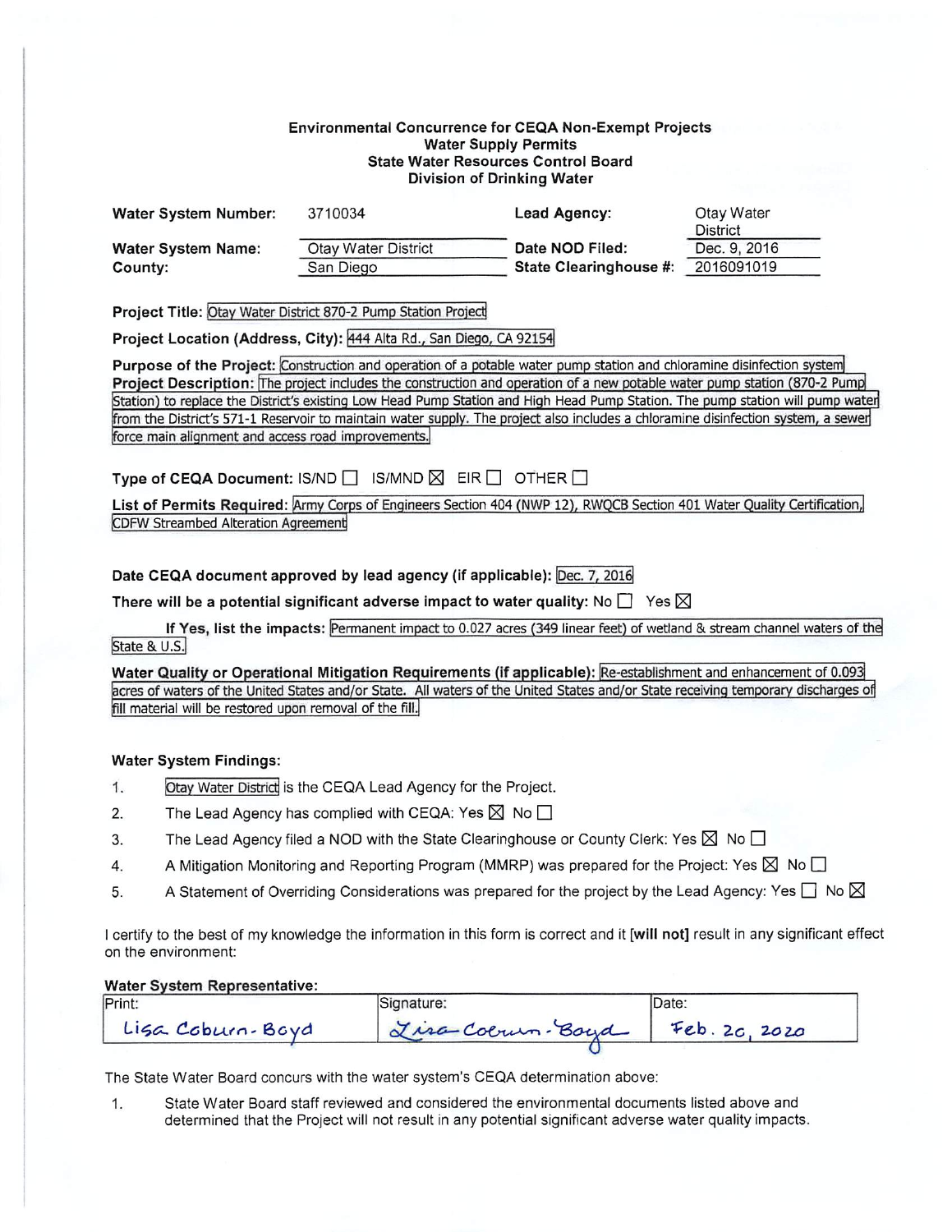### **Environmental Concurrence for CEQA Non-Exempt Projects Water Supply Permits State Water Resources Control Board** Division of Drinking Water

| <b>Water System Number:</b> | 3710034             | Lead Agency:                  | Otay Water   |
|-----------------------------|---------------------|-------------------------------|--------------|
|                             |                     |                               | District     |
| <b>Water System Name:</b>   | Otay Water District | Date NOD Filed:               | Dec. 9, 2016 |
| County:                     | San Diego           | <b>State Clearinghouse #:</b> | 2016091019   |

Project Title: Otay Water District 870-2 Pump Station Project

Project Location (Address, City): 444 Alta Rd., San Diego, CA 92154

Purpose of the Project: Construction and operation of a potable water pump station and chloramine disinfection system Project Description: The project includes the construction and operation of a new potable water pump station (870-2 Pump Station) to replace the District's existing Low Head Pump Station and High Head Pump Station. The pump station will pump water from the District's 571-1 Reservoir to maintain water supply. The project also includes a chloramine disinfection system, a sewer force main alignment and access road improvements.

Type of CEQA Document: IS/ND  $\Box$  IS/MND  $\boxtimes$  EIR  $\Box$  OTHER  $\Box$ 

List of Permits Required: Army Corps of Engineers Section 404 (NWP 12), RWQCB Section 401 Water Quality Certification, **CDFW Streambed Alteration Agreement** 

Date CEQA document approved by lead agency (if applicable): Dec. 7, 2016

There will be a potential significant adverse impact to water quality: No  $\Box$  Yes  $\boxtimes$ 

If Yes, list the impacts: Permanent impact to 0.027 acres (349 linear feet) of wetland & stream channel waters of the State & U.S.

Water Quality or Operational Mitigation Requirements (if applicable): Re-establishment and enhancement of 0.093 acres of waters of the United States and/or State. All waters of the United States and/or State receiving temporary discharges of fill material will be restored upon removal of the fill.

## **Water System Findings:**

- Otay Water District is the CEQA Lead Agency for the Project.  $1.$
- The Lead Agency has complied with CEQA: Yes  $\boxtimes$  No  $\Box$  $2.$
- The Lead Agency filed a NOD with the State Clearinghouse or County Clerk: Yes  $\boxtimes$  No  $\Box$ 3.
- A Mitigation Monitoring and Reporting Program (MMRP) was prepared for the Project: Yes  $\boxtimes$  No  $\square$ 4.
- A Statement of Overriding Considerations was prepared for the project by the Lead Agency: Yes  $\Box$  No  $\boxtimes$ 5.

I certify to the best of my knowledge the information in this form is correct and it [will not] result in any significant effect on the environment:

#### **Water System Representative:**

| Print:           | Signature:      | 'Date:        |  |
|------------------|-----------------|---------------|--|
| Liga Coburn-Boyd | Lisa Colum-Boyd | Feb. 20, 2020 |  |

The State Water Board concurs with the water system's CEQA determination above:

State Water Board staff reviewed and considered the environmental documents listed above and  $1.$ determined that the Project will not result in any potential significant adverse water quality impacts.